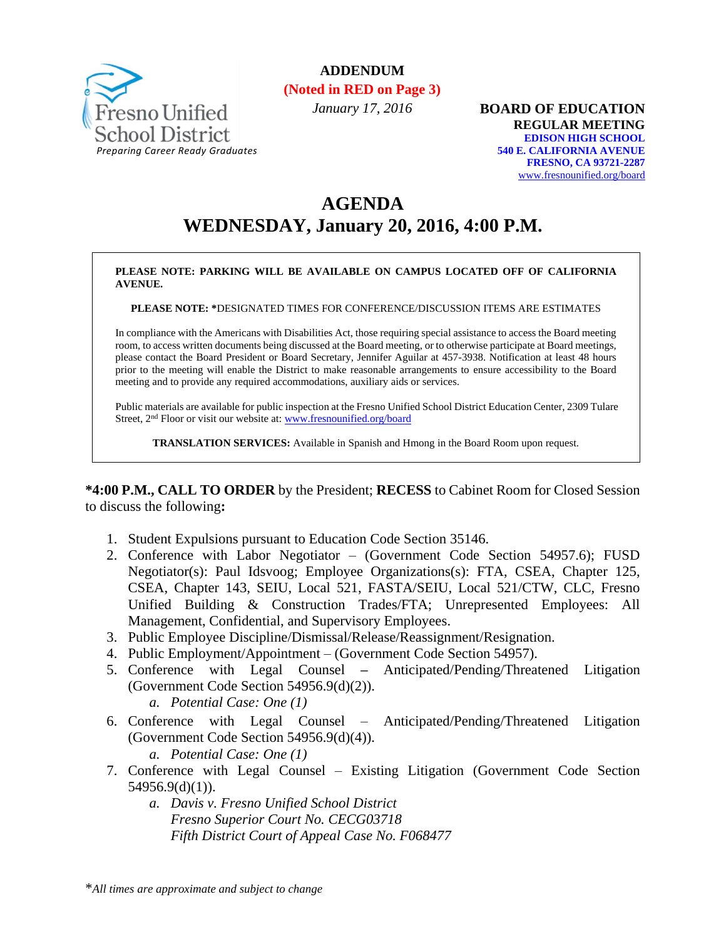

## **ADDENDUM**

**(Noted in RED on Page 3)**

*January 17, 2016*

**BOARD OF EDUCATION REGULAR MEETING EDISON HIGH SCHOOL 540 E. CALIFORNIA AVENUE FRESNO, CA 93721-2287** [www.fresnounified.org/board](http://www.fresnounified.org/board)

# **AGENDA WEDNESDAY, January 20, 2016, 4:00 P.M.**

#### **PLEASE NOTE: PARKING WILL BE AVAILABLE ON CAMPUS LOCATED OFF OF CALIFORNIA AVENUE.**

**PLEASE NOTE: \***DESIGNATED TIMES FOR CONFERENCE/DISCUSSION ITEMS ARE ESTIMATES

In compliance with the Americans with Disabilities Act, those requiring special assistance to access the Board meeting room, to access written documents being discussed at the Board meeting, or to otherwise participate at Board meetings, please contact the Board President or Board Secretary, Jennifer Aguilar at 457-3938. Notification at least 48 hours prior to the meeting will enable the District to make reasonable arrangements to ensure accessibility to the Board meeting and to provide any required accommodations, auxiliary aids or services.

Public materials are available for public inspection at the Fresno Unified School District Education Center, 2309 Tulare Street, 2nd Floor or visit our website at: [www.fresnounified.org/board](http://www.fresnounified.org/board)

**TRANSLATION SERVICES:** Available in Spanish and Hmong in the Board Room upon request.

**\*4:00 P.M., CALL TO ORDER** by the President; **RECESS** to Cabinet Room for Closed Session to discuss the following**:**

- 1. Student Expulsions pursuant to Education Code Section 35146.
- 2. Conference with Labor Negotiator (Government Code Section 54957.6); FUSD Negotiator(s): Paul Idsvoog; Employee Organizations(s): FTA, CSEA, Chapter 125, CSEA, Chapter 143, SEIU, Local 521, FASTA/SEIU, Local 521/CTW, CLC, Fresno Unified Building & Construction Trades/FTA; Unrepresented Employees: All Management, Confidential, and Supervisory Employees.
- 3. Public Employee Discipline/Dismissal/Release/Reassignment/Resignation.
- 4. Public Employment/Appointment (Government Code Section 54957).
- 5. Conference with Legal Counsel **–** Anticipated/Pending/Threatened Litigation (Government Code Section 54956.9(d)(2)).
	- *a. Potential Case: One (1)*
- 6. Conference with Legal Counsel Anticipated/Pending/Threatened Litigation (Government Code Section 54956.9(d)(4)). *a. Potential Case: One (1)*
- 7. Conference with Legal Counsel Existing Litigation (Government Code Section 54956.9(d)(1)).
	- *a. Davis v. Fresno Unified School District Fresno Superior Court No. CECG03718 Fifth District Court of Appeal Case No. F068477*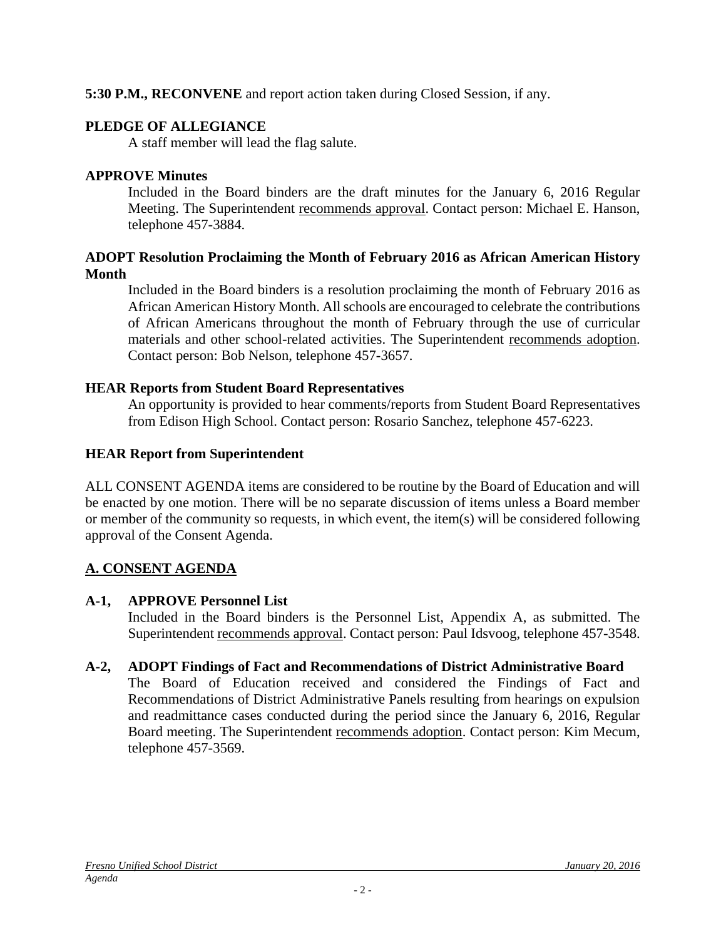### **5:30 P.M., RECONVENE** and report action taken during Closed Session, if any.

### **PLEDGE OF ALLEGIANCE**

A staff member will lead the flag salute.

### **APPROVE Minutes**

Included in the Board binders are the draft minutes for the January 6, 2016 Regular Meeting. The Superintendent recommends approval. Contact person: Michael E. Hanson, telephone 457-3884.

#### **ADOPT Resolution Proclaiming the Month of February 2016 as African American History Month**

Included in the Board binders is a resolution proclaiming the month of February 2016 as African American History Month. All schools are encouraged to celebrate the contributions of African Americans throughout the month of February through the use of curricular materials and other school-related activities. The Superintendent recommends adoption. Contact person: Bob Nelson, telephone 457-3657.

### **HEAR Reports from Student Board Representatives**

An opportunity is provided to hear comments/reports from Student Board Representatives from Edison High School. Contact person: Rosario Sanchez, telephone 457-6223.

### **HEAR Report from Superintendent**

ALL CONSENT AGENDA items are considered to be routine by the Board of Education and will be enacted by one motion. There will be no separate discussion of items unless a Board member or member of the community so requests, in which event, the item(s) will be considered following approval of the Consent Agenda.

## **A. CONSENT AGENDA**

### **A-1, APPROVE Personnel List**

Included in the Board binders is the Personnel List, Appendix A, as submitted. The Superintendent recommends approval. Contact person: Paul Idsvoog, telephone 457-3548.

### **A-2, ADOPT Findings of Fact and Recommendations of District Administrative Board**

The Board of Education received and considered the Findings of Fact and Recommendations of District Administrative Panels resulting from hearings on expulsion and readmittance cases conducted during the period since the January 6, 2016, Regular Board meeting. The Superintendent recommends adoption. Contact person: Kim Mecum, telephone 457-3569.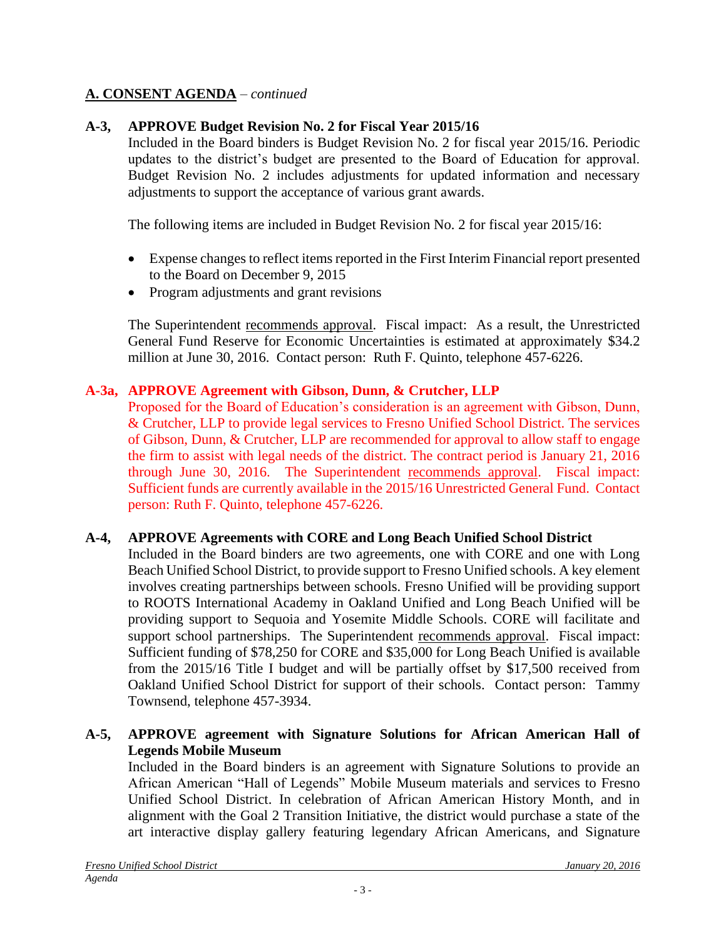### **A. CONSENT AGENDA** – *continued*

### **A-3, APPROVE Budget Revision No. 2 for Fiscal Year 2015/16**

Included in the Board binders is Budget Revision No. 2 for fiscal year 2015/16. Periodic updates to the district's budget are presented to the Board of Education for approval. Budget Revision No. 2 includes adjustments for updated information and necessary adjustments to support the acceptance of various grant awards.

The following items are included in Budget Revision No. 2 for fiscal year 2015/16:

- Expense changes to reflect items reported in the First Interim Financial report presented to the Board on December 9, 2015
- Program adjustments and grant revisions

The Superintendent recommends approval. Fiscal impact: As a result, the Unrestricted General Fund Reserve for Economic Uncertainties is estimated at approximately \$34.2 million at June 30, 2016. Contact person: Ruth F. Quinto, telephone 457-6226.

### **A-3a, APPROVE Agreement with Gibson, Dunn, & Crutcher, LLP**

Proposed for the Board of Education's consideration is an agreement with Gibson, Dunn, & Crutcher, LLP to provide legal services to Fresno Unified School District. The services of Gibson, Dunn, & Crutcher, LLP are recommended for approval to allow staff to engage the firm to assist with legal needs of the district. The contract period is January 21, 2016 through June 30, 2016. The Superintendent recommends approval. Fiscal impact: Sufficient funds are currently available in the 2015/16 Unrestricted General Fund. Contact person: Ruth F. Quinto, telephone 457-6226.

### **A-4, APPROVE Agreements with CORE and Long Beach Unified School District**

Included in the Board binders are two agreements, one with CORE and one with Long Beach Unified School District, to provide support to Fresno Unified schools. A key element involves creating partnerships between schools. Fresno Unified will be providing support to ROOTS International Academy in Oakland Unified and Long Beach Unified will be providing support to Sequoia and Yosemite Middle Schools. CORE will facilitate and support school partnerships. The Superintendent recommends approval. Fiscal impact: Sufficient funding of \$78,250 for CORE and \$35,000 for Long Beach Unified is available from the 2015/16 Title I budget and will be partially offset by \$17,500 received from Oakland Unified School District for support of their schools. Contact person: Tammy Townsend, telephone 457-3934.

### **A-5, APPROVE agreement with Signature Solutions for African American Hall of Legends Mobile Museum**

Included in the Board binders is an agreement with Signature Solutions to provide an African American "Hall of Legends" Mobile Museum materials and services to Fresno Unified School District. In celebration of African American History Month, and in alignment with the Goal 2 Transition Initiative, the district would purchase a state of the art interactive display gallery featuring legendary African Americans, and Signature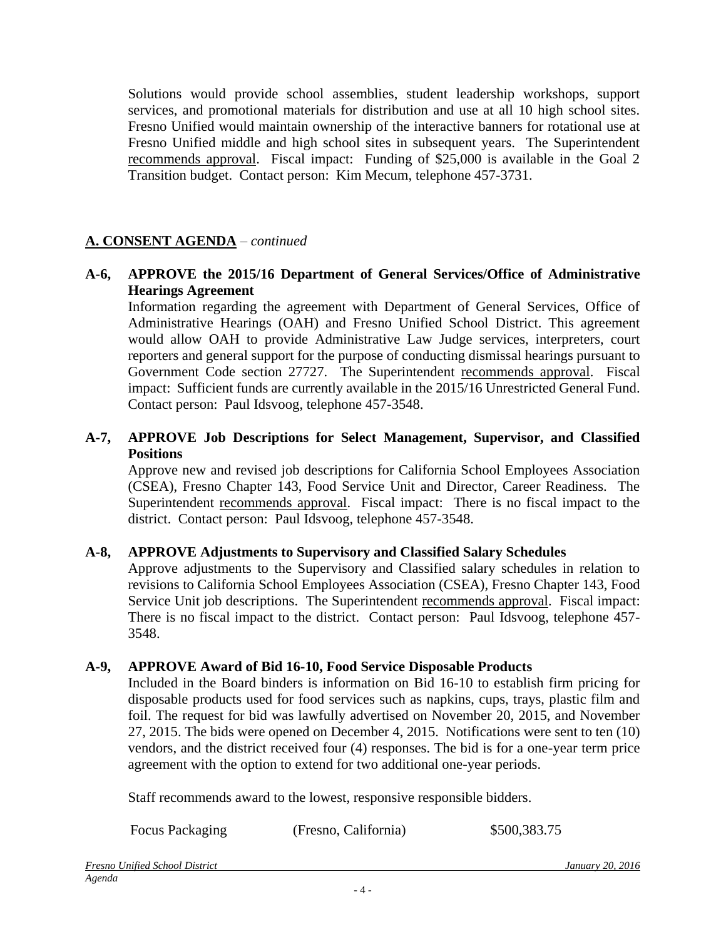Solutions would provide school assemblies, student leadership workshops, support services, and promotional materials for distribution and use at all 10 high school sites. Fresno Unified would maintain ownership of the interactive banners for rotational use at Fresno Unified middle and high school sites in subsequent years. The Superintendent recommends approval. Fiscal impact: Funding of \$25,000 is available in the Goal 2 Transition budget. Contact person: Kim Mecum, telephone 457-3731.

### **A. CONSENT AGENDA** – *continued*

#### **A-6, APPROVE the 2015/16 Department of General Services/Office of Administrative Hearings Agreement**

Information regarding the agreement with Department of General Services, Office of Administrative Hearings (OAH) and Fresno Unified School District. This agreement would allow OAH to provide Administrative Law Judge services, interpreters, court reporters and general support for the purpose of conducting dismissal hearings pursuant to Government Code section 27727. The Superintendent recommends approval. Fiscal impact: Sufficient funds are currently available in the 2015/16 Unrestricted General Fund. Contact person: Paul Idsvoog, telephone 457-3548.

#### **A-7, APPROVE Job Descriptions for Select Management, Supervisor, and Classified Positions**

Approve new and revised job descriptions for California School Employees Association (CSEA), Fresno Chapter 143, Food Service Unit and Director, Career Readiness. The Superintendent recommends approval. Fiscal impact: There is no fiscal impact to the district. Contact person: Paul Idsvoog, telephone 457-3548.

#### **A-8, APPROVE Adjustments to Supervisory and Classified Salary Schedules**

Approve adjustments to the Supervisory and Classified salary schedules in relation to revisions to California School Employees Association (CSEA), Fresno Chapter 143, Food Service Unit job descriptions. The Superintendent recommends approval. Fiscal impact: There is no fiscal impact to the district. Contact person: Paul Idsvoog, telephone 457- 3548.

#### **A-9, APPROVE Award of Bid 16-10, Food Service Disposable Products**

Included in the Board binders is information on Bid 16-10 to establish firm pricing for disposable products used for food services such as napkins, cups, trays, plastic film and foil. The request for bid was lawfully advertised on November 20, 2015, and November 27, 2015. The bids were opened on December 4, 2015. Notifications were sent to ten (10) vendors, and the district received four (4) responses. The bid is for a one-year term price agreement with the option to extend for two additional one-year periods.

Staff recommends award to the lowest, responsive responsible bidders.

Focus Packaging (Fresno, California)  $$500,383.75$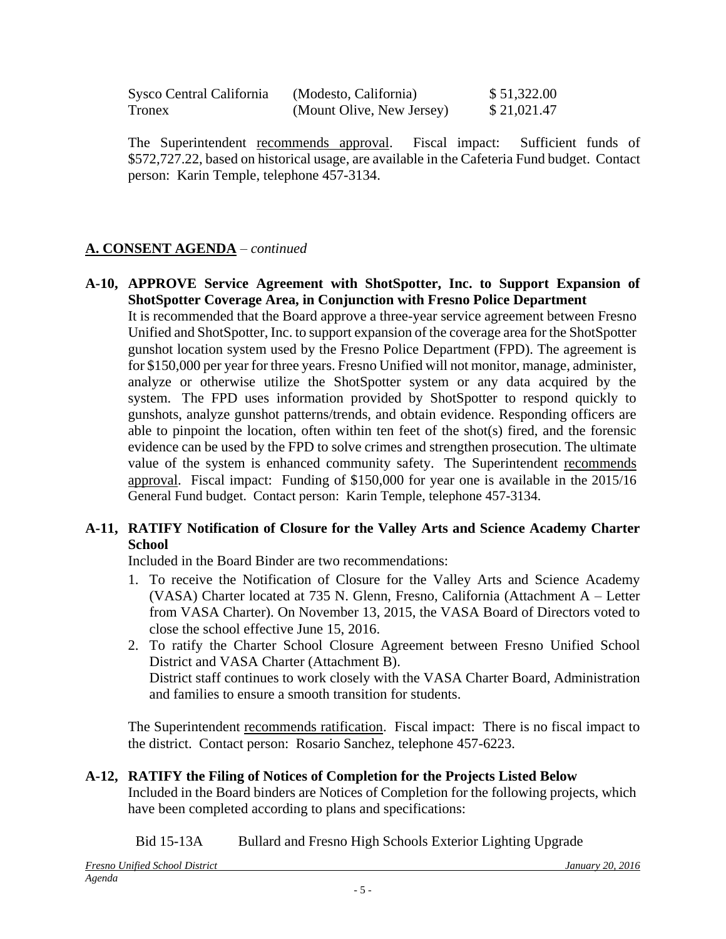| Sysco Central California | (Modesto, California)     | \$51,322.00 |
|--------------------------|---------------------------|-------------|
| Tronex                   | (Mount Olive, New Jersey) | \$21,021.47 |

The Superintendent recommends approval. Fiscal impact: Sufficient funds of \$572,727.22, based on historical usage, are available in the Cafeteria Fund budget. Contact person: Karin Temple, telephone 457-3134.

### **A. CONSENT AGENDA** – *continued*

**A-10, APPROVE Service Agreement with ShotSpotter, Inc. to Support Expansion of ShotSpotter Coverage Area, in Conjunction with Fresno Police Department** It is recommended that the Board approve a three-year service agreement between Fresno

Unified and ShotSpotter, Inc. to support expansion of the coverage area for the ShotSpotter gunshot location system used by the Fresno Police Department (FPD). The agreement is for \$150,000 per year for three years. Fresno Unified will not monitor, manage, administer, analyze or otherwise utilize the ShotSpotter system or any data acquired by the system. The FPD uses information provided by ShotSpotter to respond quickly to gunshots, analyze gunshot patterns/trends, and obtain evidence. Responding officers are able to pinpoint the location, often within ten feet of the shot(s) fired, and the forensic evidence can be used by the FPD to solve crimes and strengthen prosecution. The ultimate value of the system is enhanced community safety. The Superintendent recommends approval. Fiscal impact: Funding of \$150,000 for year one is available in the 2015/16 General Fund budget. Contact person: Karin Temple, telephone 457-3134.

#### **A-11, RATIFY Notification of Closure for the Valley Arts and Science Academy Charter School**

Included in the Board Binder are two recommendations:

- 1. To receive the Notification of Closure for the Valley Arts and Science Academy (VASA) Charter located at 735 N. Glenn, Fresno, California (Attachment A – Letter from VASA Charter). On November 13, 2015, the VASA Board of Directors voted to close the school effective June 15, 2016.
- 2. To ratify the Charter School Closure Agreement between Fresno Unified School District and VASA Charter (Attachment B). District staff continues to work closely with the VASA Charter Board, Administration and families to ensure a smooth transition for students.

The Superintendent recommends ratification. Fiscal impact: There is no fiscal impact to the district. Contact person: Rosario Sanchez, telephone 457-6223.

#### **A-12, RATIFY the Filing of Notices of Completion for the Projects Listed Below** Included in the Board binders are Notices of Completion for the following projects, which

have been completed according to plans and specifications:

Bid 15-13A Bullard and Fresno High Schools Exterior Lighting Upgrade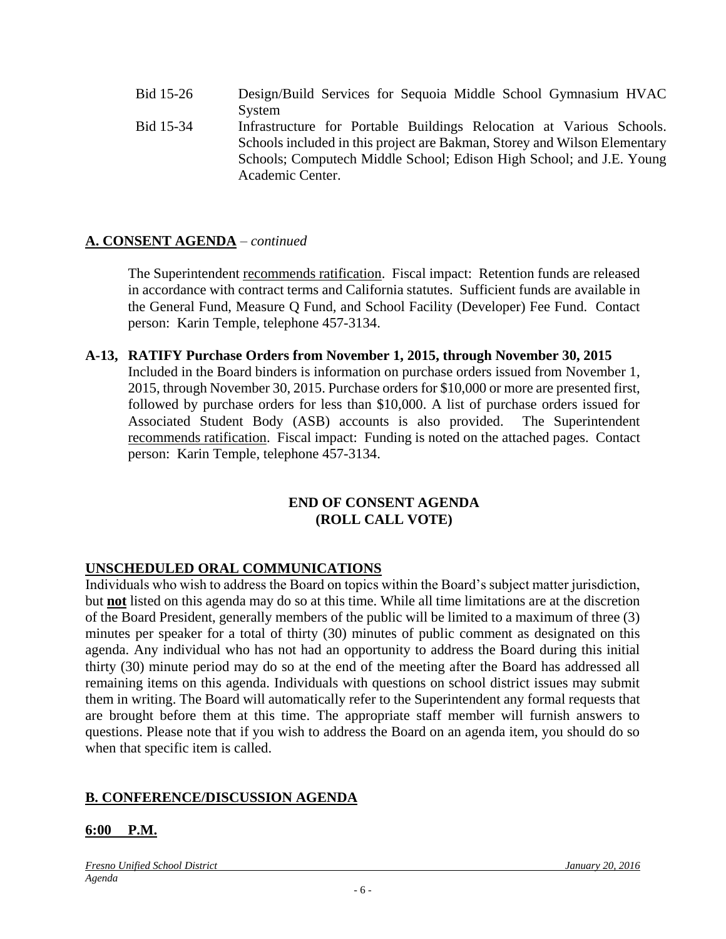- Bid 15-26 Design/Build Services for Sequoia Middle School Gymnasium HVAC System
- Bid 15-34 Infrastructure for Portable Buildings Relocation at Various Schools. Schools included in this project are Bakman, Storey and Wilson Elementary Schools; Computech Middle School; Edison High School; and J.E. Young Academic Center.

### **A. CONSENT AGENDA** – *continued*

The Superintendent recommends ratification. Fiscal impact: Retention funds are released in accordance with contract terms and California statutes. Sufficient funds are available in the General Fund, Measure Q Fund, and School Facility (Developer) Fee Fund. Contact person: Karin Temple, telephone 457-3134.

#### **A-13, RATIFY Purchase Orders from November 1, 2015, through November 30, 2015**

Included in the Board binders is information on purchase orders issued from November 1, 2015, through November 30, 2015. Purchase orders for \$10,000 or more are presented first, followed by purchase orders for less than \$10,000. A list of purchase orders issued for Associated Student Body (ASB) accounts is also provided. The Superintendent recommends ratification. Fiscal impact: Funding is noted on the attached pages. Contact person: Karin Temple, telephone 457-3134.

#### **END OF CONSENT AGENDA (ROLL CALL VOTE)**

### **UNSCHEDULED ORAL COMMUNICATIONS**

Individuals who wish to address the Board on topics within the Board's subject matter jurisdiction, but **not** listed on this agenda may do so at this time. While all time limitations are at the discretion of the Board President, generally members of the public will be limited to a maximum of three (3) minutes per speaker for a total of thirty (30) minutes of public comment as designated on this agenda. Any individual who has not had an opportunity to address the Board during this initial thirty (30) minute period may do so at the end of the meeting after the Board has addressed all remaining items on this agenda. Individuals with questions on school district issues may submit them in writing. The Board will automatically refer to the Superintendent any formal requests that are brought before them at this time. The appropriate staff member will furnish answers to questions. Please note that if you wish to address the Board on an agenda item, you should do so when that specific item is called.

#### **B. CONFERENCE/DISCUSSION AGENDA**

#### **6:00 P.M.**